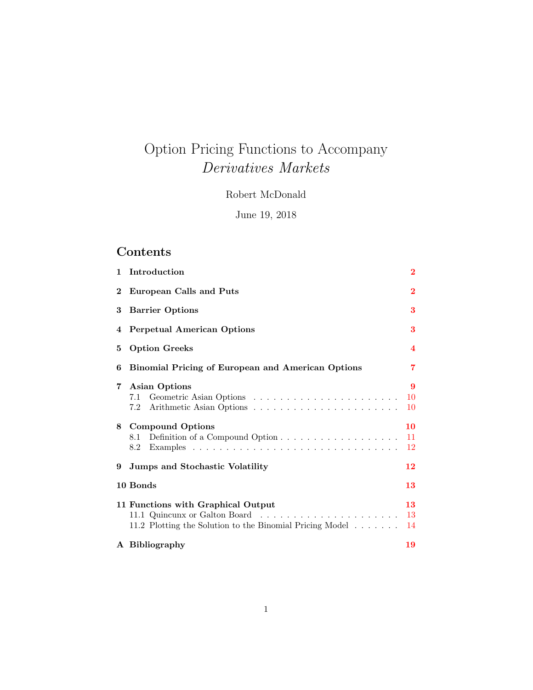# Option Pricing Functions to Accompany Derivatives Markets

Robert McDonald

June 19, 2018

## Contents

|                | 1 Introduction                                                                                                 | $\bf{2}$       |  |
|----------------|----------------------------------------------------------------------------------------------------------------|----------------|--|
| $\bf{2}$       | European Calls and Puts                                                                                        | $\bf{2}$       |  |
| 3              | <b>Barrier Options</b>                                                                                         |                |  |
|                | 4 Perpetual American Options                                                                                   |                |  |
| 5              | <b>Option Greeks</b><br>$\overline{\mathbf{4}}$                                                                |                |  |
| 6              | <b>Binomial Pricing of European and American Options</b>                                                       | 7              |  |
| $7\phantom{.}$ | <b>Asian Options</b><br>7.1                                                                                    | 9<br>10<br>10  |  |
|                | 8 Compound Options<br>8.1<br>8.2                                                                               | 10<br>11<br>12 |  |
| 9              | Jumps and Stochastic Volatility                                                                                | 12             |  |
|                | 10 Bonds                                                                                                       | 13             |  |
|                | 11 Functions with Graphical Output<br>11.2 Plotting the Solution to the Binomial Pricing Model $\ldots \ldots$ | 13<br>13<br>14 |  |
|                | A Bibliography                                                                                                 | 19             |  |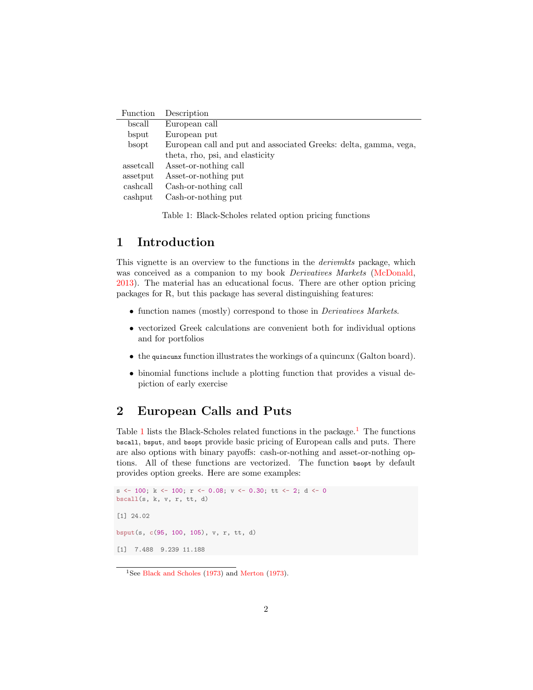| Function  | Description                                                      |
|-----------|------------------------------------------------------------------|
| bscall    | European call                                                    |
| bsput     | European put                                                     |
| bsopt     | European call and put and associated Greeks: delta, gamma, vega, |
|           | theta, rho, psi, and elasticity                                  |
| assetcall | Asset-or-nothing call                                            |
| assetput  | Asset-or-nothing put                                             |
| cashcall  | Cash-or-nothing call                                             |
| cashput   | Cash-or-nothing put                                              |

<span id="page-1-2"></span>Table 1: Black-Scholes related option pricing functions

#### <span id="page-1-0"></span>1 Introduction

This vignette is an overview to the functions in the derivmkts package, which was conceived as a companion to my book *Derivatives Markets* [\(McDonald,](#page-18-1) [2013\)](#page-18-1). The material has an educational focus. There are other option pricing packages for R, but this package has several distinguishing features:

- function names (mostly) correspond to those in *Derivatives Markets*.
- vectorized Greek calculations are convenient both for individual options and for portfolios
- the quincunx function illustrates the workings of a quincunx (Galton board).
- binomial functions include a plotting function that provides a visual depiction of early exercise

#### <span id="page-1-1"></span>2 European Calls and Puts

Table [1](#page-1-3) lists the Black-Scholes related functions in the package.<sup>1</sup> The functions bscall, bsput, and bsopt provide basic pricing of European calls and puts. There are also options with binary payoffs: cash-or-nothing and asset-or-nothing options. All of these functions are vectorized. The function bsopt by default provides option greeks. Here are some examples:

```
s <- 100; k <- 100; r <- 0.08; v <- 0.30; tt <- 2; d <- 0
bscall(s, k, v, r, tt, d)
[1] 24.02
bsput(s, c(95, 100, 105), v, r, tt, d)
[1] 7.488 9.239 11.188
```
<span id="page-1-3"></span><sup>&</sup>lt;sup>1</sup>See [Black and Scholes](#page-18-2) [\(1973\)](#page-18-3) and [Merton](#page-18-3) (1973).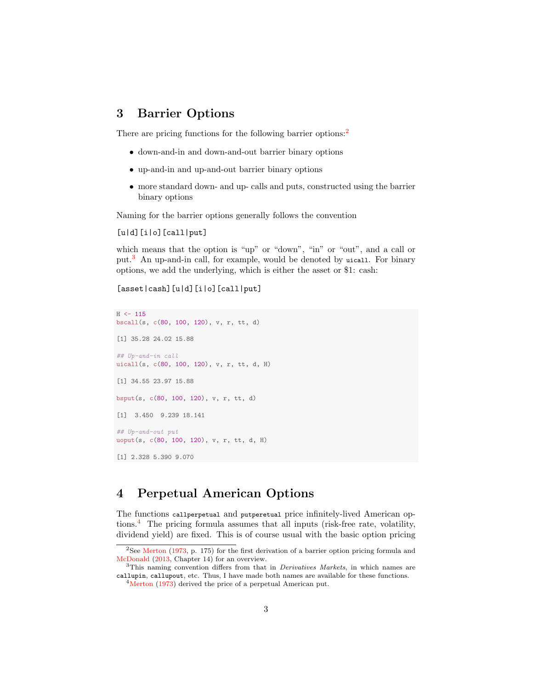#### <span id="page-2-0"></span>3 Barrier Options

There are pricing functions for the following barrier options:<sup>[2](#page-2-2)</sup>

- down-and-in and down-and-out barrier binary options
- up-and-in and up-and-out barrier binary options
- more standard down- and up- calls and puts, constructed using the barrier binary options

Naming for the barrier options generally follows the convention

 $[u|d]$ [i|o][call|put]

which means that the option is "up" or "down", "in" or "out", and a call or put.[3](#page-2-3) An up-and-in call, for example, would be denoted by uicall. For binary options, we add the underlying, which is either the asset or \$1: cash:

[asset|cash][u|d][i|o][call|put]

```
H < -115bscall(s, c(80, 100, 120), v, r, tt, d)
[1] 35.28 24.02 15.88
## Up-and-in call
uicall(s, c(80, 100, 120), v, r, tt, d, H)
[1] 34.55 23.97 15.88
bsput(s, c(80, 100, 120), v, r, tt, d)
[1] 3.450 9.239 18.141
## Up-and-out put
uoput(s, c(80, 100, 120), v, r, tt, d, H)
[1] 2.328 5.390 9.070
```
#### <span id="page-2-1"></span>4 Perpetual American Options

The functions callperpetual and putperetual price infinitely-lived American options.[4](#page-2-4) The pricing formula assumes that all inputs (risk-free rate, volatility, dividend yield) are fixed. This is of course usual with the basic option pricing

<span id="page-2-2"></span><sup>&</sup>lt;sup>2</sup>See [Merton](#page-18-3) [\(1973,](#page-18-3) p. 175) for the first derivation of a barrier option pricing formula and [McDonald](#page-18-1) [\(2013,](#page-18-1) Chapter 14) for an overview.

<span id="page-2-3"></span><sup>&</sup>lt;sup>3</sup>This naming convention differs from that in *Derivatives Markets*, in which names are callupin, callupout, etc. Thus, I have made both names are available for these functions.

<span id="page-2-4"></span><sup>4</sup>[Merton](#page-18-3) [\(1973\)](#page-18-3) derived the price of a perpetual American put.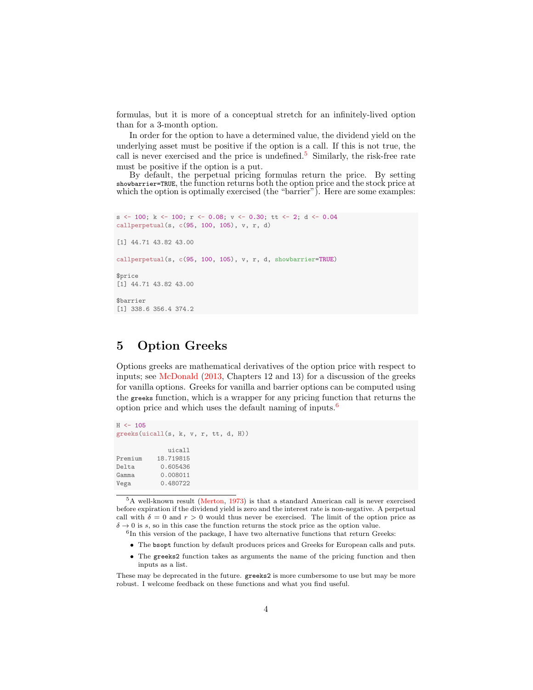formulas, but it is more of a conceptual stretch for an infinitely-lived option than for a 3-month option.

In order for the option to have a determined value, the dividend yield on the underlying asset must be positive if the option is a call. If this is not true, the call is never exercised and the price is undefined.<sup>[5](#page-3-1)</sup> Similarly, the risk-free rate must be positive if the option is a put.

By default, the perpetual pricing formulas return the price. By setting showbarrier=TRUE, the function returns both the option price and the stock price at which the option is optimally exercised (the "barrier"). Here are some examples:

```
s <- 100; k <- 100; r <- 0.08; v <- 0.30; tt <- 2; d <- 0.04
callperpetual(s, c(95, 100, 105), v, r, d)
[1] 44.71 43.82 43.00
callperpetual(s, c(95, 100, 105), v, r, d, showbarrier=TRUE)
$price
[1] 44.71 43.82 43.00
$barrier
[1] 338.6 356.4 374.2
```
## <span id="page-3-0"></span>5 Option Greeks

Options greeks are mathematical derivatives of the option price with respect to inputs; see [McDonald](#page-18-1) [\(2013,](#page-18-1) Chapters 12 and 13) for a discussion of the greeks for vanilla options. Greeks for vanilla and barrier options can be computed using the greeks function, which is a wrapper for any pricing function that returns the option price and which uses the default naming of inputs. $6$ 

```
H < - 105greeks(uicall(s, k, v, r, tt, d, H))
            uicall
Premium 18.719815
Delta 0.605436
Gamma 0.008011
          0.480722
```
<span id="page-3-1"></span><sup>5</sup>A well-known result [\(Merton,](#page-18-3) [1973\)](#page-18-3) is that a standard American call is never exercised before expiration if the dividend yield is zero and the interest rate is non-negative. A perpetual call with  $\delta = 0$  and  $r > 0$  would thus never be exercised. The limit of the option price as  $\delta \to 0$  is s, so in this case the function returns the stock price as the option value.

<span id="page-3-2"></span>6 In this version of the package, I have two alternative functions that return Greeks:

- The bsopt function by default produces prices and Greeks for European calls and puts.
- The greeks2 function takes as arguments the name of the pricing function and then inputs as a list.

These may be deprecated in the future. greeks2 is more cumbersome to use but may be more robust. I welcome feedback on these functions and what you find useful.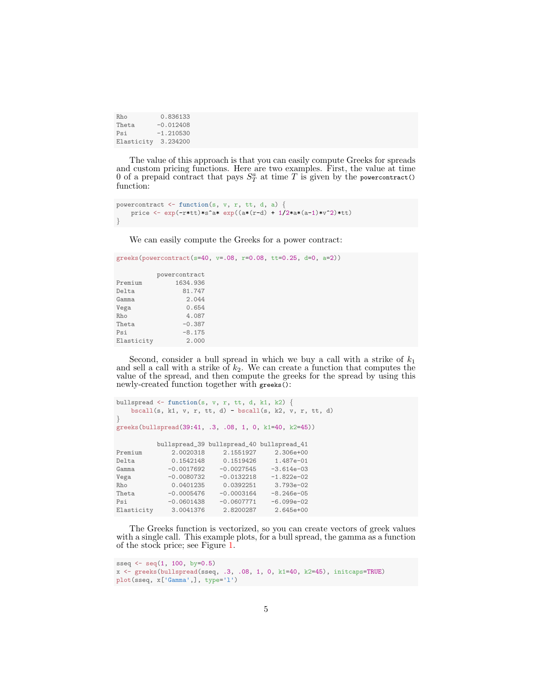Rho 0.836133<br>Theta -0.012408 Theta -0.012408<br>Psi -1.210530  $-1.210530$ Elasticity 3.234200

The value of this approach is that you can easily compute Greeks for spreads and custom pricing functions. Here are two examples. First, the value at time 0 of a prepaid contract that pays  $S_T^a$  at time T is given by the powercontract() function:

```
powercontract \leq function(s, v, r, tt, d, a) {
   price <- exp(-r*tt)*s^a* exp((a*(r-d) + 1/2*a*(a-1)*v^2)*tt)
}
```
We can easily compute the Greeks for a power contract:

```
greeks(powercontract(s=40, v = .08, r = 0.08, tt = 0.25, d = 0, a = 2))
       powercontract
Premium 1634.936
Delta 81.747
Gamma 2.044
Vega 0.654
Rho 4.087
Theta -0.387Psi -8.175
Elasticity 2.000
```
Second, consider a bull spread in which we buy a call with a strike of  $k_1$ and sell a call with a strike of  $k_2$ . We can create a function that computes the value of the spread, and then compute the greeks for the spread by using this newly-created function together with greeks():

```
bullspread \leq function(s, v, r, tt, d, k1, k2) {
   bscall(s, k1, v, r, tt, d) - bscall(s, k2, v, r, tt, d)
}
greeks(bullspread(39:41, .3, .08, 1, 0, k1=40, k2=45))
           bullspread_39 bullspread_40 bullspread_41
Premium 2.0020318 2.1551927 2.306e+00<br>Delta 0.1542148 0.1519426 1.487e-01
Delta 0.1542148 0.1519426 1.487e-01
              -0.0017692Vega -0.0080732 -0.0132218 -1.822e-02
Rho 0.0401235 0.0392251 3.793e-02
Theta -0.0005476 -0.0003164 -8.246e-05<br>Psi -0.0601438 -0.0607771 -6.099e-02
                            -0.0607771Elasticity 3.0041376 2.8200287 2.645e+00
```
The Greeks function is vectorized, so you can create vectors of greek values with a single call. This example plots, for a bull spread, the gamma as a function of the stock price; see Figure [1.](#page-5-0)

```
sseq \leq seq(1, 100, by=0.5)x <- greeks(bullspread(sseq, .3, .08, 1, 0, k1=40, k2=45), initcaps=TRUE)
plot(sseq, x['Gamma',], type='l')
```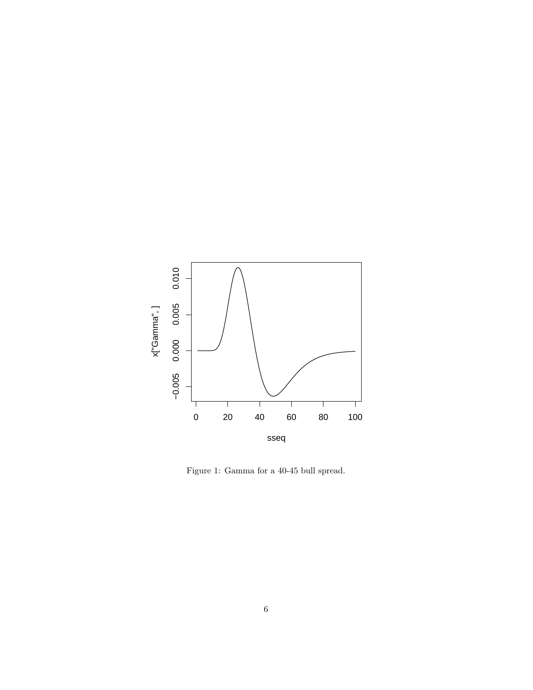

<span id="page-5-0"></span>Figure 1: Gamma for a 40-45 bull spread.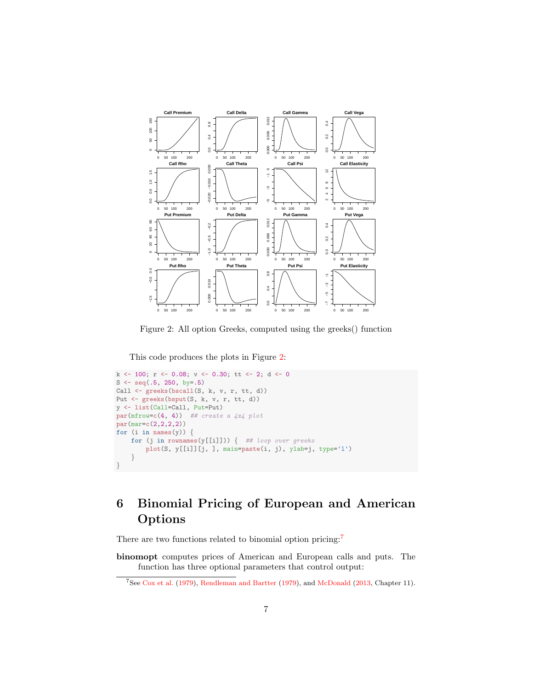

<span id="page-6-1"></span>Figure 2: All option Greeks, computed using the greeks() function

This code produces the plots in Figure [2:](#page-6-1)

```
k <- 100; r <- 0.08; v <- 0.30; tt <- 2; d <- 0
S <- seq(.5, 250, by=.5)
Call \leftarrow greeks(bscall(S, k, v, r, tt, d))
Put <- greeks(bsput(S, k, v, r, tt, d))
y <- list(Call=Call, Put=Put)
par(mfrow=c(4, 4)) ## create a 4x4 plot
par(mar=c(2,2,2,2))
for (i in names(y)) \{for (j in rownames(y[[i]])) { ## loop over greeks
        plot(S, y[[i]][j, ], main=paste(i, j), ylab=j, type='l')
    }
}
```
## <span id="page-6-0"></span>6 Binomial Pricing of European and American Options

There are two functions related to binomial option pricing:<sup>[7](#page-6-2)</sup>

binomopt computes prices of American and European calls and puts. The function has three optional parameters that control output:

<span id="page-6-2"></span><sup>7</sup>See [Cox et al.](#page-18-4) [\(1979\)](#page-18-4), [Rendleman and Bartter](#page-18-5) [\(1979\)](#page-18-5), and [McDonald](#page-18-1) [\(2013,](#page-18-1) Chapter 11).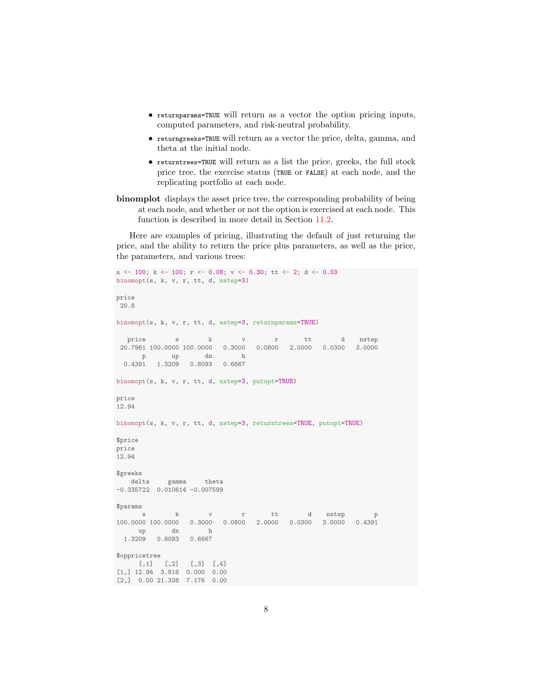- returnparams=TRUE will return as a vector the option pricing inputs, computed parameters, and risk-neutral probability.
- returngreeks=TRUE will return as a vector the price, delta, gamma, and theta at the initial node.
- returntrees=TRUE will return as a list the price, greeks, the full stock price tree, the exercise status (TRUE or FALSE) at each node, and the replicating portfolio at each node.
- binomplot displays the asset price tree, the corresponding probability of being at each node, and whether or not the option is exercised at each node. This function is described in more detail in Section [11.2.](#page-13-0)

Here are examples of pricing, illustrating the default of just returning the price, and the ability to return the price plus parameters, as well as the price, the parameters, and various trees:

```
s \langle - 100; k \langle - 100; r \langle - 0.08; v \langle - 0.30; tt \langle - 2; d \langle - 0.03
binomopt(s, k, v, r, tt, d, nstep=3)
price
20.8
binomopt(s, k, v, r, tt, d, nstep=3, returnparams=TRUE)
   price s k v r tt d nstep
 20.7961 100.0000 100.0000 0.3000 0.0800 2.0000 0.0300 3.0000
     p up dn h
 0.4391 1.3209 0.8093 0.6667
binomopt(s, k, v, r, tt, d, nstep=3, putopt=TRUE)
price
12.94
binomopt(s, k, v, r, tt, d, nstep=3, returntrees=TRUE, putopt=TRUE)
$price
price
12.94
$greeks
   delta gamma theta
-0.335722 0.010614 -0.007599
$params
      s k v r tt d nstep p
100.0000 100.0000 0.3000 0.0800 2.0000 0.0300 3.0000 0.4391
     up dn h
 1.3209 0.8093 0.6667
$oppricetree
    [0,1] [0,2] [0,3] [0,4][1,] 12.94 3.816 0.000 0.00
[2,] 0.00 21.338 7.176 0.00
```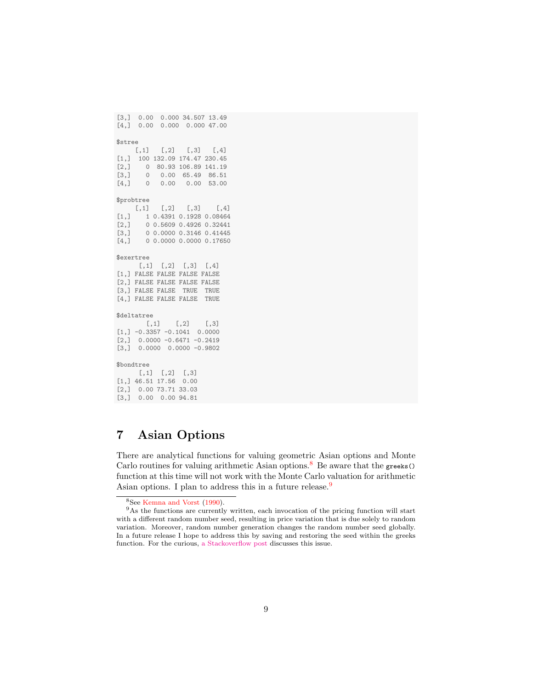```
[3,] 0.00 0.000 34.507 13.49
[4,] 0.00 0.000 0.000 47.00
$stree
    [0,1] [0,2] [0,3] [0,4][1,] 100 132.09 174.47 230.45
[2,] 0 80.93 106.89 141.19<br>[3,] 0 0.00 65.49 86.51[3,] 0 0.00 65.49 86.51
[4,] 0 0.00 0.00 53.00
$probtree
    [,1] [,2] [,3] [,4]
[1,] 1 0.4391 0.1928 0.08464
[2,] 0 0.5609 0.4926 0.32441
[3,] 0 0.0000 0.3146 0.41445
[4,] 0 0.0000 0.0000 0.17650
$exertree
     [,1] [,2] [,3] [,4]
[1,] FALSE FALSE FALSE FALSE
[2,] FALSE FALSE FALSE FALSE
[3,] FALSE FALSE TRUE TRUE
[4,] FALSE FALSE FALSE TRUE
$deltatree
       [,1] [,2] [,3]
[1,] -0.3357 -0.1041 0.0000[2,] 0.0000 -0.6471 -0.2419
[3,] 0.0000 0.0000 -0.9802$bondtree
     [,1] [,2] [,3]
[1,] 46.51 17.56 0.00
[2,] 0.00 73.71 33.03
[3,] 0.00 0.00 94.81
```
## <span id="page-8-0"></span>7 Asian Options

There are analytical functions for valuing geometric Asian options and Monte Carlo routines for valuing arithmetic Asian options.<sup>[8](#page-8-1)</sup> Be aware that the greeks() function at this time will not work with the Monte Carlo valuation for arithmetic Asian options. I plan to address this in a future release.<sup>[9](#page-8-2)</sup>

<span id="page-8-2"></span><span id="page-8-1"></span><sup>8</sup>See [Kemna and Vorst](#page-18-6) [\(1990\)](#page-18-6).

<sup>9</sup>As the functions are currently written, each invocation of the pricing function will start with a different random number seed, resulting in price variation that is due solely to random variation. Moreover, random number generation changes the random number seed globally. In a future release I hope to address this by saving and restoring the seed within the greeks function. For the curious, [a Stackoverflow post](http://stackoverflow.com/questions/14324096/setting-seed-locally-not-globally-in-r) discusses this issue.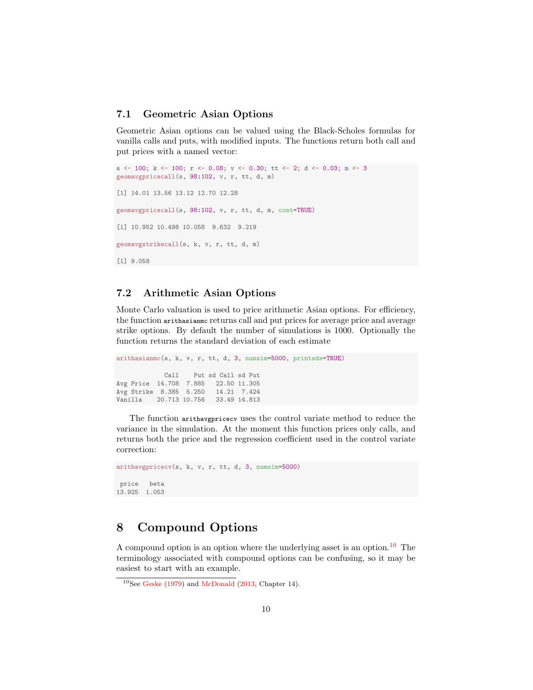#### <span id="page-9-0"></span>7.1 Geometric Asian Options

Geometric Asian options can be valued using the Black-Scholes formulas for vanilla calls and puts, with modified inputs. The functions return both call and put prices with a named vector:

```
s \langle - 100; k \langle - 100; r \langle - 0.08; v \langle - 0.30; tt \langle - 2; d \langle - 0.03; m \langle - 3
geomavgpricecall(s, 98:102, v, r, tt, d, m)
[1] 14.01 13.56 13.12 12.70 12.28
geomavgpricecall(s, 98:102, v, r, tt, d, m, cont=TRUE)
[1] 10.952 10.498 10.058 9.632 9.219
geomavgstrikecall(s, k, v, r, tt, d, m)
[1] 9.058
```
#### <span id="page-9-1"></span>7.2 Arithmetic Asian Options

Monte Carlo valuation is used to price arithmetic Asian options. For efficiency, the function arithasianmc returns call and put prices for average price and average strike options. By default the number of simulations is 1000. Optionally the function returns the standard deviation of each estimate

```
arithasianmc(s, k, v, r, tt, d, 3, numsim=5000, printsds=TRUE)
              Call Put sd Call sd Put
Avg Price 14.708 7.885 22.50 11.305
Avg Strike 8.385 5.250 14.21 7.424<br>Vanilla 20.713 10.756 33.49 14.813
Vanilla 20.713 10.756
```
The function arithavgpricecv uses the control variate method to reduce the variance in the simulation. At the moment this function prices only calls, and returns both the price and the regression coefficient used in the control variate correction:

```
arithavgpricecv(s, k, v, r, tt, d, 3, numsim=5000)
price beta
13.925 1.053
```
#### <span id="page-9-2"></span>8 Compound Options

A compound option is an option where the underlying asset is an option.<sup>[10](#page-9-3)</sup> The terminology associated with compound options can be confusing, so it may be easiest to start with an example.

<span id="page-9-3"></span> $10$ See [Geske](#page-18-7) [\(1979\)](#page-18-7) and [McDonald](#page-18-1) [\(2013,](#page-18-1) Chapter 14).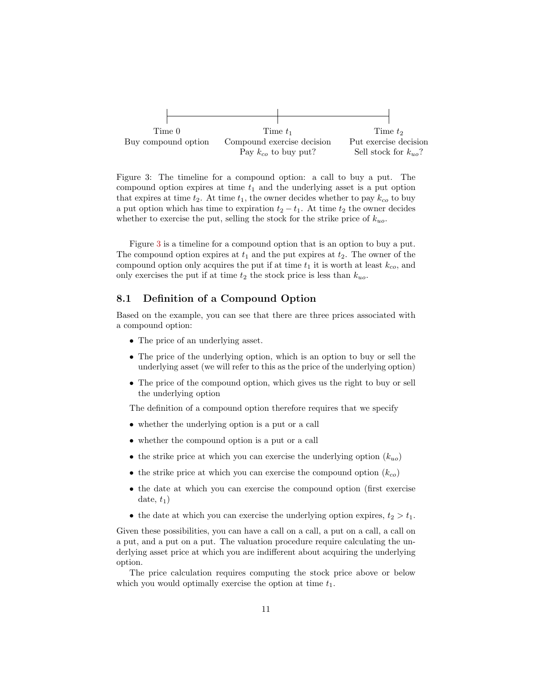

<span id="page-10-1"></span>Figure 3: The timeline for a compound option: a call to buy a put. The compound option expires at time  $t_1$  and the underlying asset is a put option that expires at time  $t_2$ . At time  $t_1$ , the owner decides whether to pay  $k_{co}$  to buy a put option which has time to expiration  $t_2 - t_1$ . At time  $t_2$  the owner decides whether to exercise the put, selling the stock for the strike price of  $k_{uo}$ .

Figure [3](#page-10-1) is a timeline for a compound option that is an option to buy a put. The compound option expires at  $t_1$  and the put expires at  $t_2$ . The owner of the compound option only acquires the put if at time  $t_1$  it is worth at least  $k_{co}$ , and only exercises the put if at time  $t_2$  the stock price is less than  $k_{uo}$ .

#### <span id="page-10-0"></span>8.1 Definition of a Compound Option

Based on the example, you can see that there are three prices associated with a compound option:

- The price of an underlying asset.
- The price of the underlying option, which is an option to buy or sell the underlying asset (we will refer to this as the price of the underlying option)
- The price of the compound option, which gives us the right to buy or sell the underlying option

The definition of a compound option therefore requires that we specify

- whether the underlying option is a put or a call
- whether the compound option is a put or a call
- the strike price at which you can exercise the underlying option  $(k_{uo})$
- the strike price at which you can exercise the compound option  $(k_{co})$
- the date at which you can exercise the compound option (first exercise date,  $t_1$ )
- the date at which you can exercise the underlying option expires,  $t_2 > t_1$ .

Given these possibilities, you can have a call on a call, a put on a call, a call on a put, and a put on a put. The valuation procedure require calculating the underlying asset price at which you are indifferent about acquiring the underlying option.

The price calculation requires computing the stock price above or below which you would optimally exercise the option at time  $t_1$ .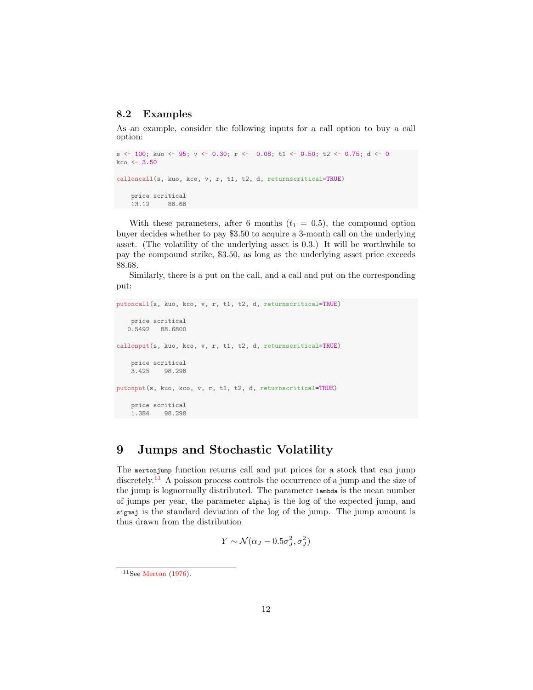#### <span id="page-11-0"></span>8.2 Examples

As an example, consider the following inputs for a call option to buy a call option:

```
s <- 100; kuo <- 95; v <- 0.30; r <- 0.08; t1 <- 0.50; t2 <- 0.75; d <- 0
kco < -3.50calloncall(s, kuo, kco, v, r, t1, t2, d, returnscritical=TRUE)
   price scritical
   13.12 88.68
```
With these parameters, after 6 months  $(t_1 = 0.5)$ , the compound option buyer decides whether to pay \$3.50 to acquire a 3-month call on the underlying asset. (The volatility of the underlying asset is 0.3.) It will be worthwhile to pay the compound strike, \$3.50, as long as the underlying asset price exceeds 88.68.

Similarly, there is a put on the call, and a call and put on the corresponding put:

```
putoncall(s, kuo, kco, v, r, t1, t2, d, returnscritical=TRUE)
   price scritical
  0.5492 88.6800
callonput(s, kuo, kco, v, r, t1, t2, d, returnscritical=TRUE)
    price scritical<br>3.425 98.298
            98.298
putonput(s, kuo, kco, v, r, t1, t2, d, returnscritical=TRUE)
    price scritical
    1.384 98.298
```
### <span id="page-11-1"></span>9 Jumps and Stochastic Volatility

The mertonjump function returns call and put prices for a stock that can jump discretely.<sup>[11](#page-11-2)</sup> A poisson process controls the occurrence of a jump and the size of the jump is lognormally distributed. The parameter lambda is the mean number of jumps per year, the parameter alphaj is the log of the expected jump, and sigmaj is the standard deviation of the log of the jump. The jump amount is thus drawn from the distribution

$$
Y \sim \mathcal{N}(\alpha_J - 0.5\sigma_J^2, \sigma_J^2)
$$

<span id="page-11-2"></span> $11$ See [Merton](#page-18-8) [\(1976\)](#page-18-8).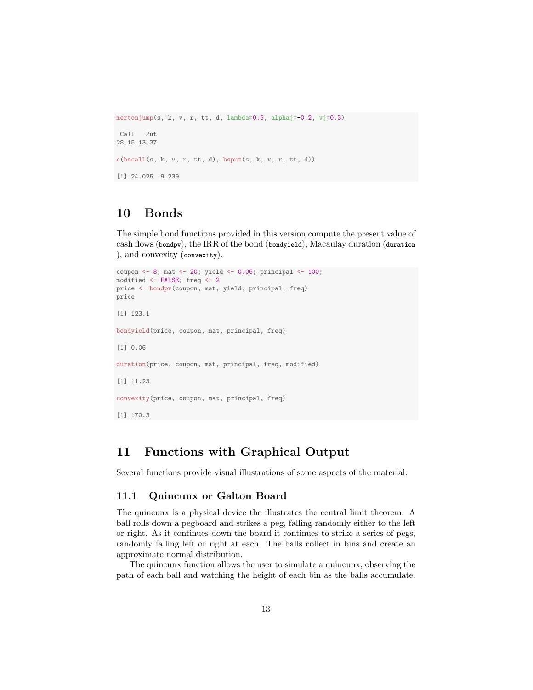```
mertonjump(s, k, v, r, tt, d, lambda=0.5, alphaj = -0.2, vj=0.3)
Call Put
28.15 13.37
c(\text{bscall}(s, k, v, r, tt, d), bsput(s, k, v, r, tt, d))[1] 24.025 9.239
```
### <span id="page-12-0"></span>10 Bonds

The simple bond functions provided in this version compute the present value of cash flows (bondpv), the IRR of the bond (bondyield), Macaulay duration (duration ), and convexity (convexity).

```
coupon <- 8; mat <- 20; yield <- 0.06; principal <- 100;
modified <- FALSE; freq <- 2
price <- bondpv(coupon, mat, yield, principal, freq)
price
[1] 123.1
bondyield(price, coupon, mat, principal, freq)
[1] 0.06
duration(price, coupon, mat, principal, freq, modified)
[1] 11.23
convexity(price, coupon, mat, principal, freq)
[1] 170.3
```
#### <span id="page-12-1"></span>11 Functions with Graphical Output

Several functions provide visual illustrations of some aspects of the material.

#### <span id="page-12-2"></span>11.1 Quincunx or Galton Board

The quincunx is a physical device the illustrates the central limit theorem. A ball rolls down a pegboard and strikes a peg, falling randomly either to the left or right. As it continues down the board it continues to strike a series of pegs, randomly falling left or right at each. The balls collect in bins and create an approximate normal distribution.

The quincunx function allows the user to simulate a quincunx, observing the path of each ball and watching the height of each bin as the balls accumulate.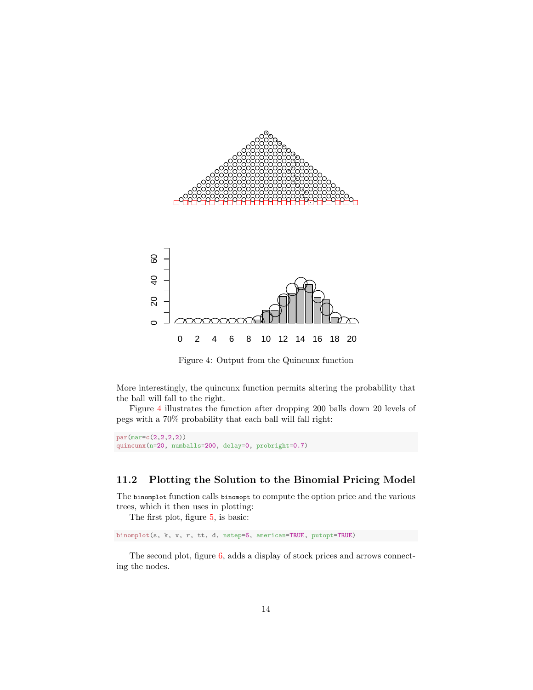

<span id="page-13-1"></span>Figure 4: Output from the Quincunx function

More interestingly, the quincunx function permits altering the probability that the ball will fall to the right.

Figure [4](#page-13-1) illustrates the function after dropping 200 balls down 20 levels of pegs with a 70% probability that each ball will fall right:

```
par(mar=c(2,2,2,2))
quincunx(n=20, numballs=200, delay=0, probright=0.7)
```
#### <span id="page-13-0"></span>11.2 Plotting the Solution to the Binomial Pricing Model

The binomplot function calls binomopt to compute the option price and the various trees, which it then uses in plotting:

The first plot, figure [5,](#page-14-0) is basic:

binomplot(s, k, v, r, tt, d, nstep=6, american=TRUE, putopt=TRUE)

The second plot, figure [6,](#page-15-0) adds a display of stock prices and arrows connecting the nodes.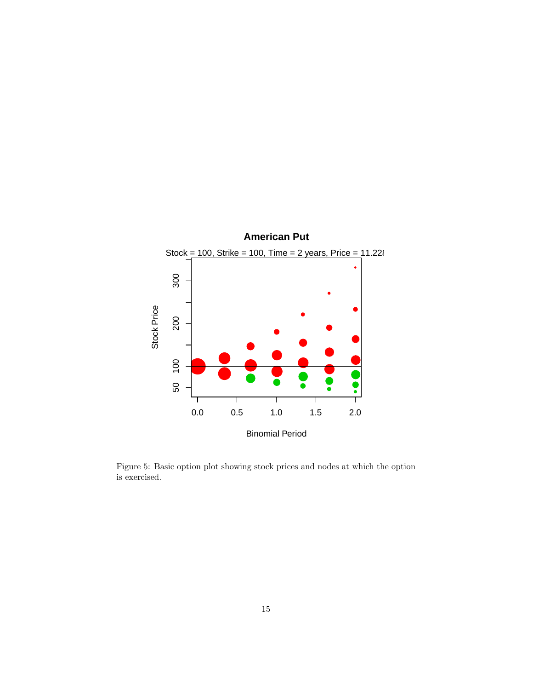

<span id="page-14-0"></span>Figure 5: Basic option plot showing stock prices and nodes at which the option is exercised.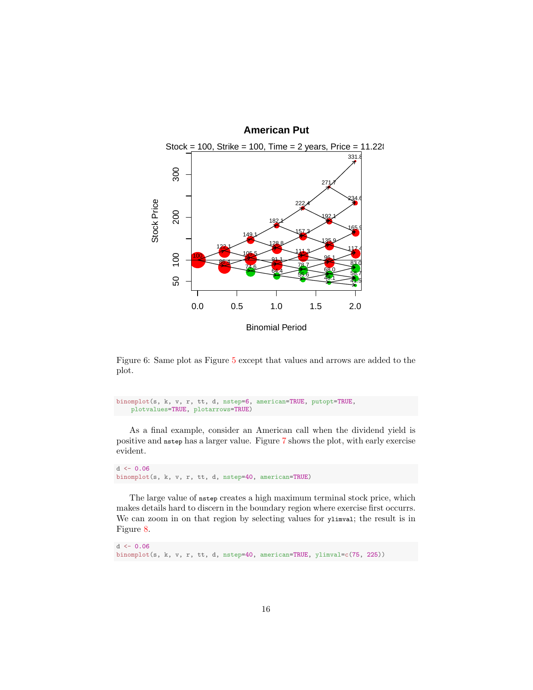

<span id="page-15-0"></span>Figure 6: Same plot as Figure [5](#page-14-0) except that values and arrows are added to the plot.

```
binomplot(s, k, v, r, tt, d, nstep=6, american=TRUE, putopt=TRUE,
   plotvalues=TRUE, plotarrows=TRUE)
```
As a final example, consider an American call when the dividend yield is positive and nstep has a larger value. Figure [7](#page-16-0) shows the plot, with early exercise evident.

```
d \leftarrow 0.06binomplot(s, k, v, r, tt, d, nstep=40, american=TRUE)
```
The large value of nstep creates a high maximum terminal stock price, which makes details hard to discern in the boundary region where exercise first occurrs. We can zoom in on that region by selecting values for ylimval; the result is in Figure [8.](#page-17-0)

```
d \leftarrow 0.06binomplot(s, k, v, r, tt, d, nstep=40, american=TRUE, ylimval=c(75, 225))
```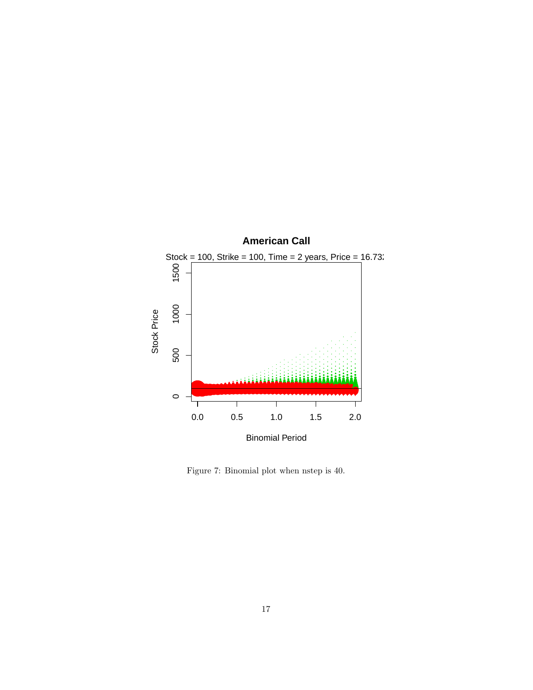

<span id="page-16-0"></span>Figure 7: Binomial plot when nstep is 40.  $\,$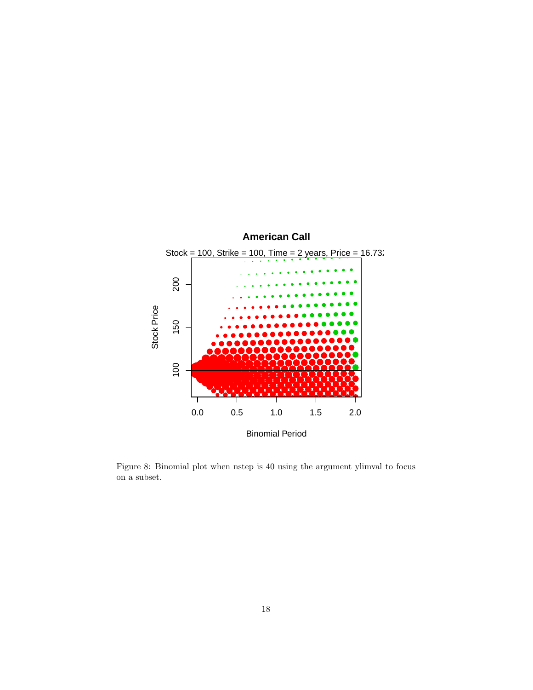

<span id="page-17-0"></span>Figure 8: Binomial plot when nstep is 40 using the argument ylimval to focus on a subset.  $\,$